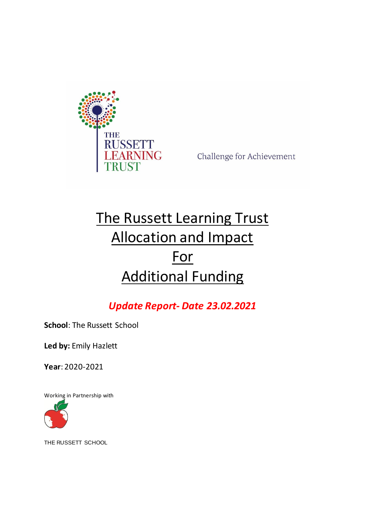

Challenge for Achievement

# The Russett Learning Trust Allocation and Impact For Additional Funding

## *Update Report- Date 23.02.2021*

**School**: The Russett School

**Led by:** Emily Hazlett

**Year**: 2020-2021

Working in Partnership with



THE RUSSETT SCHOOL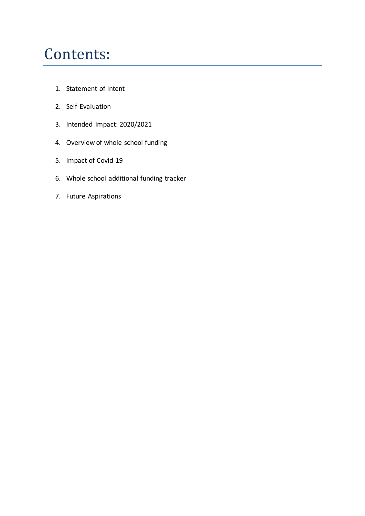# Contents:

- 1. Statement of Intent
- 2. Self-Evaluation
- 3. Intended Impact: 2020/2021
- 4. Overview of whole school funding
- 5. Impact of Covid-19
- 6. Whole school additional funding tracker
- 7. Future Aspirations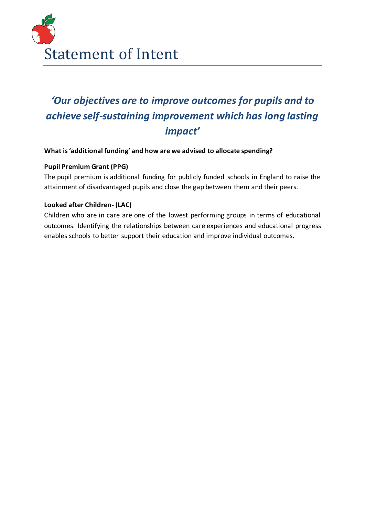

## *'Our objectives are to improve outcomes for pupils and to achieve self-sustaining improvement which has long lasting impact'*

#### **What is 'additional funding' and how are we advised to allocate spending?**

#### **Pupil Premium Grant (PPG)**

The pupil [premium](https://www.gov.uk/government/policies/raising-the-achievement-of-disadvantaged-children/supporting-pages/pupil-premium) is additional funding for publicly funded schools in England to raise the attainment of disadvantaged pupils and close the gap between them and their peers.

#### **Looked after Children- (LAC)**

Children who are in care are one of the lowest performing groups in terms of educational outcomes. Identifying the relationships between care experiences and educational progress enables schools to better support their education and improve individual outcomes.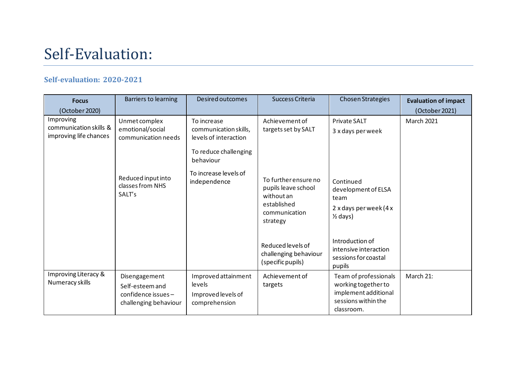# Self-Evaluation:

#### **Self-evaluation: 2020-2021**

| <b>Focus</b><br>(October 2020)                                | Barriers to learning                                                                      | Desired outcomes                                                     | Success Criteria                                                                                      | Chosen Strategies                                                                                         | <b>Evaluation of impact</b><br>(October 2021) |
|---------------------------------------------------------------|-------------------------------------------------------------------------------------------|----------------------------------------------------------------------|-------------------------------------------------------------------------------------------------------|-----------------------------------------------------------------------------------------------------------|-----------------------------------------------|
| Improving<br>communication skills &<br>improving life chances | Unmet complex<br>emotional/social<br>communication needs                                  | To increase<br>communication skills,<br>levels of interaction        | Achievement of<br>targets set by SALT                                                                 | <b>Private SALT</b><br>3 x days per week                                                                  | <b>March 2021</b>                             |
|                                                               |                                                                                           | To reduce challenging<br>behaviour                                   |                                                                                                       |                                                                                                           |                                               |
|                                                               | To increase levels of<br>Reduced input into<br>independence<br>classes from NHS<br>SALT's |                                                                      | To further ensure no<br>pupils leave school<br>without an<br>established<br>communication<br>strategy | Continued<br>development of ELSA<br>team<br>$2x$ days per week (4 $x$<br>$\frac{1}{2}$ days)              |                                               |
|                                                               |                                                                                           |                                                                      | Reduced levels of<br>challenging behaviour<br>(specific pupils)                                       | Introduction of<br>intensive interaction<br>sessions for coastal<br>pupils                                |                                               |
| Improving Literacy &<br>Numeracy skills                       | Disengagement<br>Self-esteem and<br>confidence issues-<br>challenging behaviour           | Improved attainment<br>levels<br>Improved levels of<br>comprehension | Achievement of<br>targets                                                                             | Team of professionals<br>working together to<br>implement additional<br>sessions within the<br>classroom. | March 21:                                     |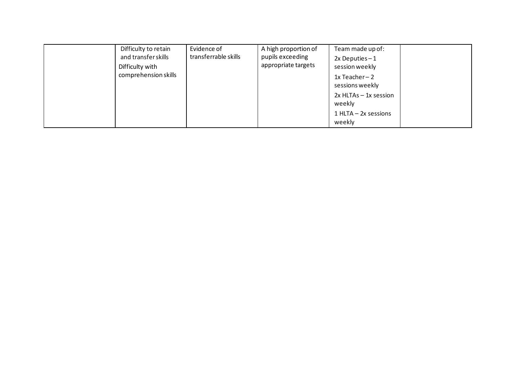| Difficulty to retain<br>and transfer skills<br>Difficulty with<br>comprehension skills | Evidence of<br>transferrable skills | A high proportion of<br>pupils exceeding<br>appropriate targets | Team made up of:<br>$2x$ Deputies $-1$<br>session weekly<br>1x Teacher-2<br>sessions weekly |  |
|----------------------------------------------------------------------------------------|-------------------------------------|-----------------------------------------------------------------|---------------------------------------------------------------------------------------------|--|
|                                                                                        |                                     |                                                                 | $2x$ HLTAs $-$ 1x session<br>weekly                                                         |  |
|                                                                                        |                                     |                                                                 | $1$ HLTA $-$ 2x sessions<br>weekly                                                          |  |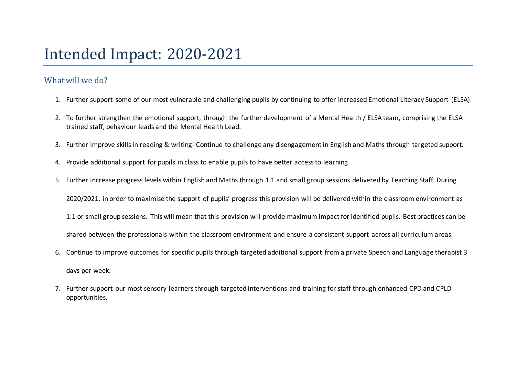# Intended Impact: 2020-2021

### Whatwill we do?

- 1. Further support some of our most vulnerable and challenging pupils by continuing to offer increased Emotional Literacy Support (ELSA).
- 2. To further strengthen the emotional support, through the further development of a Mental Health / ELSA team, comprising the ELSA trained staff, behaviour leads and the Mental Health Lead.
- 3. Further improve skillsin reading & writing- Continue to challenge any disengagement in English and Maths through targeted support.
- 4. Provide additional support for pupils in class to enable pupils to have better accessto learning
- 5. Further increase progress levels within English and Maths through 1:1 and small group sessions delivered by Teaching Staff. During

2020/2021, in order to maximise the support of pupils' progress this provision will be delivered within the classroom environment as

1:1 or small group sessions. This will mean that this provision will provide maximum impact for identified pupils. Best practices can be

shared between the professionals within the classroom environment and ensure a consistent support across all curriculum areas.

- 6. Continue to improve outcomes for specific pupils through targeted additional support from a private Speech and Language therapist 3 days per week.
- 7. Further support our most sensory learnersthrough targeted interventions and training for staff through enhanced CPD and CPLD opportunities.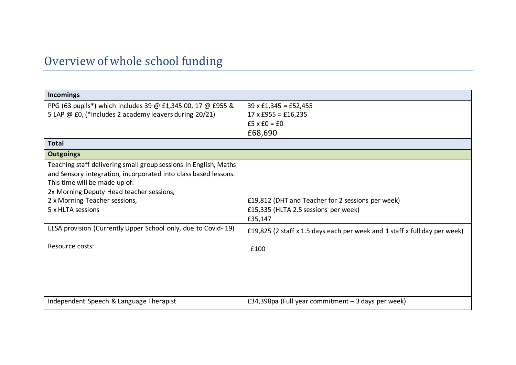## Overview of whole school funding

| <b>Incomings</b>                                                                                                                                                                                                                                                       |                                                                                                      |
|------------------------------------------------------------------------------------------------------------------------------------------------------------------------------------------------------------------------------------------------------------------------|------------------------------------------------------------------------------------------------------|
| PPG (63 pupils*) which includes 39 @ £1,345.00, 17 @ £955 &<br>5 LAP @ £0, (*includes 2 academy leavers during 20/21)                                                                                                                                                  | $39 \times £1,345 = £52,455$<br>$17 \times £955 = £16,235$                                           |
|                                                                                                                                                                                                                                                                        | $f5 \times f0 = f0$<br>£68,690                                                                       |
| <b>Total</b>                                                                                                                                                                                                                                                           |                                                                                                      |
| <b>Outgoings</b>                                                                                                                                                                                                                                                       |                                                                                                      |
| Teaching staff delivering small group sessions in English, Maths<br>and Sensory integration, incorporated into class based lessons.<br>This time will be made up of:<br>2x Morning Deputy Head teacher sessions,<br>2 x Morning Teacher sessions,<br>5 x HLTA sessions | £19,812 (DHT and Teacher for 2 sessions per week)<br>£15,335 (HLTA 2.5 sessions per week)<br>£35,147 |
| ELSA provision (Currently Upper School only, due to Covid-19)                                                                                                                                                                                                          | £19,825 (2 staff x 1.5 days each per week and 1 staff x full day per week)                           |
| Resource costs:                                                                                                                                                                                                                                                        | £100                                                                                                 |
| Independent Speech & Language Therapist                                                                                                                                                                                                                                | £34,398pa (Full year commitment $-$ 3 days per week)                                                 |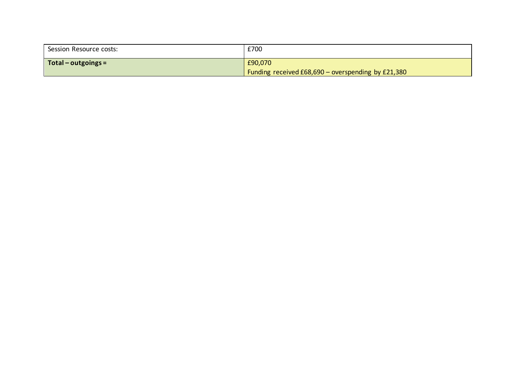| Session Resource costs:     | £700                                               |
|-----------------------------|----------------------------------------------------|
| $\vert$ Total – outgoings = | £90,070                                            |
|                             | Funding received £68,690 - overspending by £21,380 |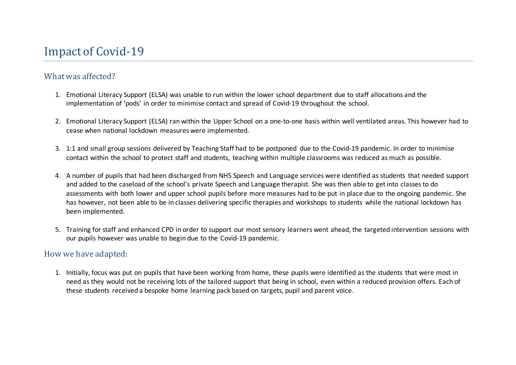### What was affected?

- 1. Emotional Literacy Support (ELSA) was unable to run within the lower school department due to staff allocations and the implementation of 'pods' in order to minimise contact and spread of Covid-19 throughout the school.
- 2. Emotional Literacy Support (ELSA) ran within the Upper School on a one-to-one basis within well ventilated areas. This however had to cease when national lockdown measures were implemented.
- 3. 1:1 and small group sessions delivered by Teaching Staff had to be postponed due to the Covid-19 pandemic. In order to minimise contact within the school to protect staff and students, teaching within multiple classrooms was reduced as much as possible.
- 4. A number of pupils that had been discharged from NHS Speech and Language services were identified as students that needed support and added to the caseload of the school's private Speech and Language therapist. She was then able to get into classesto do assessments with both lower and upper school pupils before more measures had to be put in place due to the ongoing pandemic. She has however, not been able to be in classes delivering specific therapies and workshops to students while the national lockdown has been implemented.
- 5. Training for staff and enhanced CPD in order to support our most sensory learners went ahead, the targeted intervention sessions with our pupils however was unable to begin due to the Covid-19 pandemic.

### How we have adapted:

1. Initially, focus was put on pupils that have been working from home, these pupils were identified as the students that were most in need as they would not be receiving lots of the tailored support that being in school, even within a reduced provision offers. Each of these students received a bespoke home learning pack based on targets, pupil and parent voice.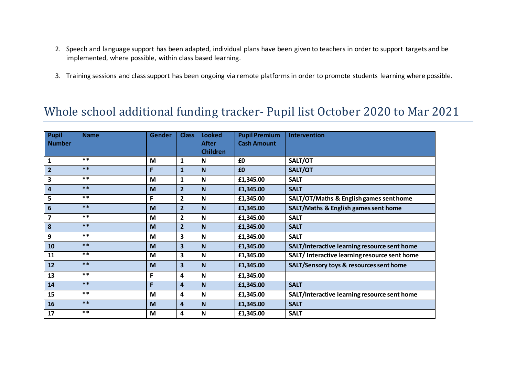- 2. Speech and language support has been adapted, individual plans have been given to teachers in order to support targets and be implemented, where possible, within class based learning.
- 3. Training sessions and class support has been ongoing via remote platforms in order to promote students learning where possible.

## Whole school additional funding tracker- Pupil list October 2020 to Mar 2021

| <b>Pupil</b>   | <b>Name</b> | <b>Gender</b> | <b>Class</b>            | <b>Looked</b>   | <b>Pupil Premium</b> | <b>Intervention</b>                           |
|----------------|-------------|---------------|-------------------------|-----------------|----------------------|-----------------------------------------------|
| <b>Number</b>  |             |               |                         | <b>After</b>    | <b>Cash Amount</b>   |                                               |
|                |             |               |                         | <b>Children</b> |                      |                                               |
| $\mathbf{1}$   | $***$       | M             | $\mathbf{1}$            | $\mathsf{N}$    | £0                   | SALT/OT                                       |
| $\overline{2}$ | $***$       | F             | $\mathbf{1}$            | N               | £0                   | SALT/OT                                       |
| 3              | $***$       | M             | 1                       | N               | £1,345.00            | <b>SALT</b>                                   |
| 4              | $***$       | M             | 2 <sup>2</sup>          | N               | £1,345.00            | <b>SALT</b>                                   |
| 5              | $***$       | F             | $\overline{2}$          | $\mathbf N$     | £1,345.00            | SALT/OT/Maths & English games sent home       |
| $6\phantom{1}$ | $***$       | M             | $\overline{2}$          | N               | £1,345.00            | SALT/Maths & English games sent home          |
| 7              | $***$       | M             | $\overline{2}$          | $\mathbf N$     | £1,345.00            | <b>SALT</b>                                   |
| 8              | $***$       | M             | 2 <sup>2</sup>          | N               | £1,345.00            | <b>SALT</b>                                   |
| 9              | $***$       | M             | 3                       | $\mathbf N$     | £1,345.00            | <b>SALT</b>                                   |
| 10             | $***$       | M             | $\overline{\mathbf{3}}$ | $\mathbf N$     | £1,345.00            | SALT/Interactive learning resource sent home  |
| 11             | $***$       | M             | 3                       | $\mathbf N$     | £1,345.00            | SALT/ Interactive learning resource sent home |
| 12             | $***$       | M             | $\overline{\mathbf{3}}$ | N               | £1,345.00            | SALT/Sensory toys & resources sent home       |
| 13             | $***$       | F             | 4                       | $\mathbf N$     | £1,345.00            |                                               |
| 14             | $***$       | F             | 4                       | N               | £1,345.00            | <b>SALT</b>                                   |
| 15             | $***$       | M             | 4                       | $\mathbf N$     | £1,345.00            | SALT/Interactive learning resource sent home  |
| 16             | $***$       | M             | 4                       | N               | £1,345.00            | <b>SALT</b>                                   |
| 17             | $***$       | M             | 4                       | N               | £1,345.00            | <b>SALT</b>                                   |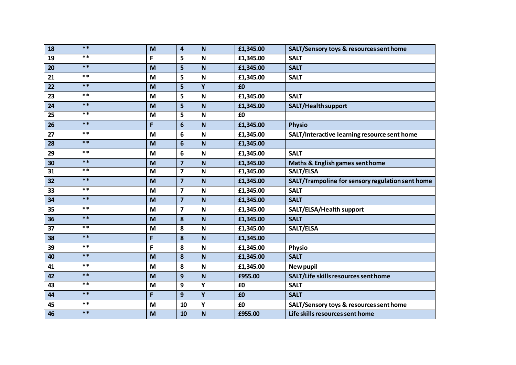| 18 | $***$ | M | 4                       | $\mathbf N$  | £1,345.00 | SALT/Sensory toys & resources sent home          |
|----|-------|---|-------------------------|--------------|-----------|--------------------------------------------------|
| 19 | $***$ | F | 5                       | $\mathbf N$  | £1,345.00 | <b>SALT</b>                                      |
| 20 | $***$ | M | 5                       | $\mathbf N$  | £1,345.00 | <b>SALT</b>                                      |
| 21 | $***$ | M | 5                       | $\mathbf N$  | £1,345.00 | <b>SALT</b>                                      |
| 22 | $***$ | M | 5                       | Y            | £0        |                                                  |
| 23 | $***$ | M | 5                       | $\mathbf N$  | £1,345.00 | <b>SALT</b>                                      |
| 24 | $***$ | M | 5                       | $\mathbf N$  | £1,345.00 | <b>SALT/Health support</b>                       |
| 25 | $***$ | M | 5                       | $\mathsf{N}$ | £0        |                                                  |
| 26 | $***$ | F | $6\phantom{1}$          | $\mathbf N$  | £1,345.00 | <b>Physio</b>                                    |
| 27 | $***$ | M | 6                       | $\mathbf N$  | £1,345.00 | SALT/Interactive learning resource sent home     |
| 28 | $***$ | M | $6\phantom{1}$          | $\mathbf N$  | £1,345.00 |                                                  |
| 29 | $***$ | M | 6                       | $\mathbf N$  | £1,345.00 | <b>SALT</b>                                      |
| 30 | $***$ | M | $\overline{\mathbf{z}}$ | $\mathbf N$  | £1,345.00 | <b>Maths &amp; English games sent home</b>       |
| 31 | $***$ | M | $\overline{\mathbf{z}}$ | $\mathbf N$  | £1,345.00 | SALT/ELSA                                        |
| 32 | $***$ | M | $\overline{\mathbf{z}}$ | $\mathbf N$  | £1,345.00 | SALT/Trampoline for sensory regulation sent home |
| 33 | $***$ | M | $\overline{\mathbf{z}}$ | $\mathbf N$  | £1,345.00 | <b>SALT</b>                                      |
| 34 | $***$ | M | $\overline{\mathbf{z}}$ | $\mathbf N$  | £1,345.00 | <b>SALT</b>                                      |
| 35 | $***$ | M | $\overline{\mathbf{z}}$ | $\mathbf N$  | £1,345.00 | SALT/ELSA/Health support                         |
| 36 | $***$ | M | 8                       | $\mathbf N$  | £1,345.00 | <b>SALT</b>                                      |
| 37 | $***$ | M | 8                       | $\mathsf{N}$ | £1,345.00 | SALT/ELSA                                        |
| 38 | $***$ | F | 8                       | $\mathbf N$  | £1,345.00 |                                                  |
| 39 | $***$ | F | 8                       | $\mathbf N$  | £1,345.00 | <b>Physio</b>                                    |
| 40 | $***$ | M | 8                       | $\mathbf N$  | £1,345.00 | <b>SALT</b>                                      |
| 41 | $***$ | M | 8                       | $\mathbf N$  | £1,345.00 | New pupil                                        |
| 42 | $***$ | M | $\mathbf{9}$            | $\mathbf N$  | £955.00   | SALT/Life skills resources sent home             |
| 43 | $***$ | M | 9                       | Y            | £0        | <b>SALT</b>                                      |
| 44 | $***$ | F | 9                       | Y            | £0        | <b>SALT</b>                                      |
| 45 | $***$ | M | 10                      | Υ            | £0        | SALT/Sensory toys & resources sent home          |
| 46 | $***$ | M | 10                      | $\mathbf N$  | £955.00   | Life skills resources sent home                  |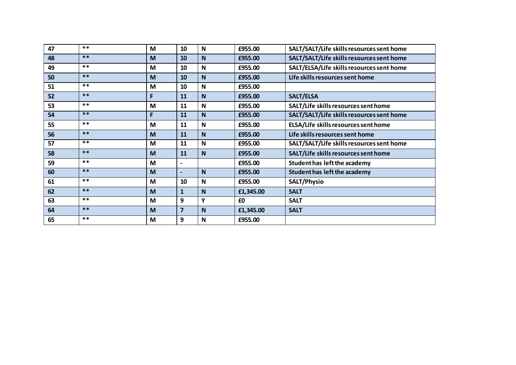| 47 | $***$ | M | 10                       | $\mathbf N$  | £955.00   | SALT/SALT/Life skills resources sent home |
|----|-------|---|--------------------------|--------------|-----------|-------------------------------------------|
| 48 | $***$ | M | 10                       | N            | £955.00   | SALT/SALT/Life skills resources sent home |
| 49 | $***$ | M | 10                       | N            | £955.00   | SALT/ELSA/Life skills resources sent home |
| 50 | $***$ | M | 10                       | N            | £955.00   | Life skills resources sent home           |
| 51 | $***$ | M | 10                       | N            | £955.00   |                                           |
| 52 | $***$ | F | 11                       | <sub>N</sub> | £955.00   | <b>SALT/ELSA</b>                          |
| 53 | $***$ | M | 11                       | $\mathbf N$  | £955.00   | SALT/Life skills resources sent home      |
| 54 | $***$ | F | 11                       | N            | £955.00   | SALT/SALT/Life skills resources sent home |
| 55 | $***$ | M | 11                       | N            | £955.00   | ELSA/Life skills resources sent home      |
| 56 | $***$ | M | <b>11</b>                | N            | £955.00   | Life skills resources sent home           |
| 57 | $***$ | M | 11                       | $\mathbf N$  | £955.00   | SALT/SALT/Life skills resources sent home |
| 58 | $***$ | M | 11                       | <sub>N</sub> | £955.00   | SALT/Life skills resources sent home      |
| 59 | $***$ | M | $\overline{\phantom{a}}$ |              | £955.00   | Student has left the academy              |
| 60 | $***$ | M | $\overline{\phantom{0}}$ | N            | £955.00   | <b>Student has left the academy</b>       |
| 61 | $***$ | M | 10                       | N            | £955.00   | <b>SALT/Physio</b>                        |
| 62 | $***$ | M | 1                        | N            | £1,345.00 | <b>SALT</b>                               |
| 63 | $***$ | M | 9                        | Υ            | £0        | <b>SALT</b>                               |
| 64 | $***$ | M | $\overline{7}$           | N            | £1,345.00 | <b>SALT</b>                               |
| 65 | $***$ | M | 9                        | N            | £955.00   |                                           |